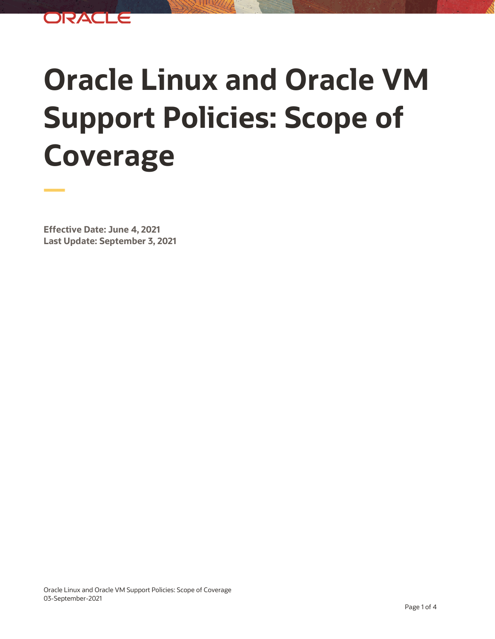

## **Oracle Linux and Oracle VM Support Policies: Scope of Coverage**

**Effective Date: June 4, 2021 Last Update: September 3, 2021**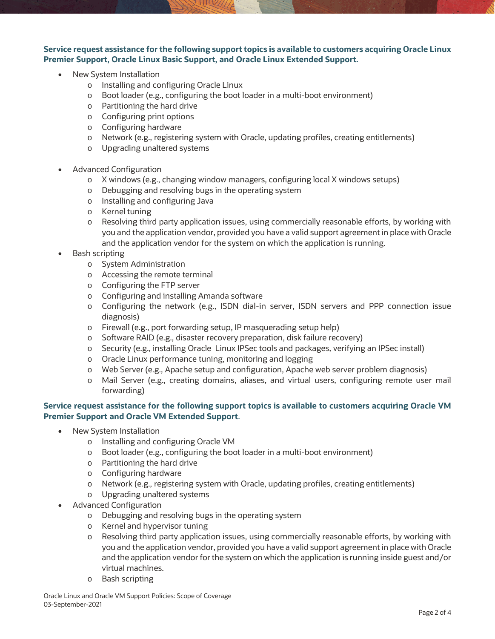**Service request assistance for the following support topics is available to customers acquiring Oracle Linux Premier Support, Oracle Linux Basic Support, and Oracle Linux Extended Support.** 

- New System Installation
	- o Installing and configuring Oracle Linux
	- o Boot loader (e.g., configuring the boot loader in a multi-boot environment)
	- o Partitioning the hard drive
	- o Configuring print options
	- o Configuring hardware
	- o Network (e.g., registering system with Oracle, updating profiles, creating entitlements)
	- o Upgrading unaltered systems
- Advanced Configuration
	- o X windows (e.g., changing window managers, configuring local X windows setups)
	- o Debugging and resolving bugs in the operating system
	- o Installing and configuring Java
	- o Kernel tuning
	- o Resolving third party application issues, using commercially reasonable efforts, by working with you and the application vendor, provided you have a valid support agreement in place with Oracle and the application vendor for the system on which the application is running.
- Bash scripting
	- o System Administration
	- o Accessing the remote terminal
	- o Configuring the FTP server
	- o Configuring and installing Amanda software
	- o Configuring the network (e.g., ISDN dial-in server, ISDN servers and PPP connection issue diagnosis)
	- o Firewall (e.g., port forwarding setup, IP masquerading setup help)
	- o Software RAID (e.g., disaster recovery preparation, disk failure recovery)
	- o Security (e.g., installing Oracle Linux IPSec tools and packages, verifying an IPSec install)
	- o Oracle Linux performance tuning, monitoring and logging
	- o Web Server (e.g., Apache setup and configuration, Apache web server problem diagnosis)
	- o Mail Server (e.g., creating domains, aliases, and virtual users, configuring remote user mail forwarding)

## **Service request assistance for the following support topics is available to customers acquiring Oracle VM Premier Support and Oracle VM Extended Support**.

- New System Installation
	- o Installing and configuring Oracle VM
	- o Boot loader (e.g., configuring the boot loader in a multi-boot environment)
	- o Partitioning the hard drive
	- o Configuring hardware
	- o Network (e.g., registering system with Oracle, updating profiles, creating entitlements)
	- o Upgrading unaltered systems
- Advanced Configuration
	- o Debugging and resolving bugs in the operating system
	- o Kernel and hypervisor tuning
	- o Resolving third party application issues, using commercially reasonable efforts, by working with you and the application vendor, provided you have a valid support agreement in place with Oracle and the application vendor for the system on which the application is running inside guest and/or virtual machines.
	- o Bash scripting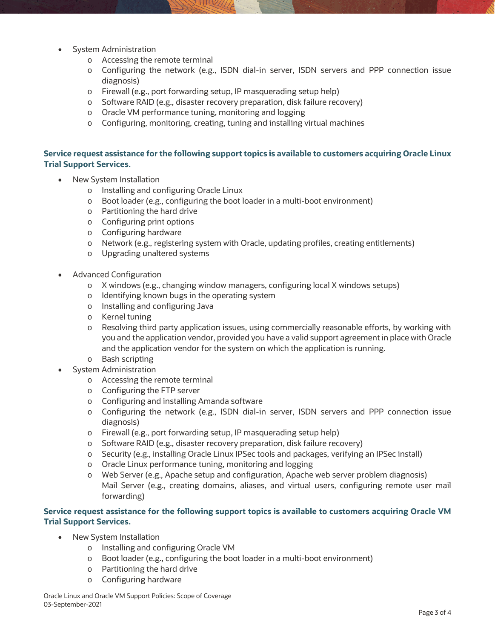- System Administration
	- o Accessing the remote terminal
	- o Configuring the network (e.g., ISDN dial-in server, ISDN servers and PPP connection issue diagnosis)
	- o Firewall (e.g., port forwarding setup, IP masquerading setup help)
	- o Software RAID (e.g., disaster recovery preparation, disk failure recovery)
	- o Oracle VM performance tuning, monitoring and logging
	- o Configuring, monitoring, creating, tuning and installing virtual machines

## **Service request assistance for the following support topics is available to customers acquiring Oracle Linux Trial Support Services.**

- New System Installation
	- o Installing and configuring Oracle Linux
	- o Boot loader (e.g., configuring the boot loader in a multi-boot environment)
	- o Partitioning the hard drive
	- o Configuring print options
	- o Configuring hardware
	- o Network (e.g., registering system with Oracle, updating profiles, creating entitlements)
	- o Upgrading unaltered systems
- Advanced Configuration
	- o X windows (e.g., changing window managers, configuring local X windows setups)
	- o Identifying known bugs in the operating system
	- o Installing and configuring Java
	- o Kernel tuning
	- o Resolving third party application issues, using commercially reasonable efforts, by working with you and the application vendor, provided you have a valid support agreement in place with Oracle and the application vendor for the system on which the application is running.
	- o Bash scripting
- System Administration
	- o Accessing the remote terminal
	- o Configuring the FTP server
	- o Configuring and installing Amanda software
	- o Configuring the network (e.g., ISDN dial-in server, ISDN servers and PPP connection issue diagnosis)
	- o Firewall (e.g., port forwarding setup, IP masquerading setup help)
	- o Software RAID (e.g., disaster recovery preparation, disk failure recovery)
	- o Security (e.g., installing Oracle Linux IPSec tools and packages, verifying an IPSec install)
	- o Oracle Linux performance tuning, monitoring and logging
	- o Web Server (e.g., Apache setup and configuration, Apache web server problem diagnosis) Mail Server (e.g., creating domains, aliases, and virtual users, configuring remote user mail forwarding)

## **Service request assistance for the following support topics is available to customers acquiring Oracle VM Trial Support Services.**

- New System Installation
	- o Installing and configuring Oracle VM
	- o Boot loader (e.g., configuring the boot loader in a multi-boot environment)
	- o Partitioning the hard drive
	- o Configuring hardware

Oracle Linux and Oracle VM Support Policies: Scope of Coverage 03-September-2021